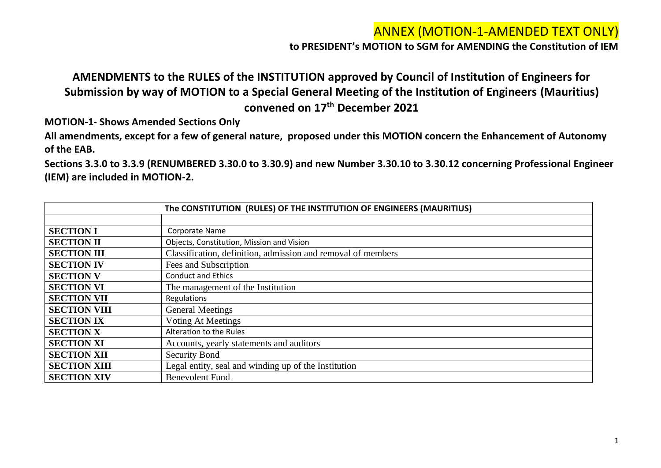**to PRESIDENT's MOTION to SGM for AMENDING the Constitution of IEM**

### **AMENDMENTS to the RULES of the INSTITUTION approved by Council of Institution of Engineers for Submission by way of MOTION to a Special General Meeting of the Institution of Engineers (Mauritius) convened on 17th December 2021**

**MOTION-1- Shows Amended Sections Only**

**All amendments, except for a few of general nature, proposed under this MOTION concern the Enhancement of Autonomy of the EAB.**

**Sections 3.3.0 to 3.3.9 (RENUMBERED 3.30.0 to 3.30.9) and new Number 3.30.10 to 3.30.12 concerning Professional Engineer (IEM) are included in MOTION-2.**

|                     | The CONSTITUTION (RULES) OF THE INSTITUTION OF ENGINEERS (MAURITIUS) |
|---------------------|----------------------------------------------------------------------|
|                     |                                                                      |
| <b>SECTION I</b>    | Corporate Name                                                       |
| <b>SECTION II</b>   | Objects, Constitution, Mission and Vision                            |
| <b>SECTION III</b>  | Classification, definition, admission and removal of members         |
| <b>SECTION IV</b>   | Fees and Subscription                                                |
| <b>SECTION V</b>    | <b>Conduct and Ethics</b>                                            |
| <b>SECTION VI</b>   | The management of the Institution                                    |
| <b>SECTION VII</b>  | Regulations                                                          |
| <b>SECTION VIII</b> | <b>General Meetings</b>                                              |
| <b>SECTION IX</b>   | <b>Voting At Meetings</b>                                            |
| <b>SECTION X</b>    | Alteration to the Rules                                              |
| <b>SECTION XI</b>   | Accounts, yearly statements and auditors                             |
| <b>SECTION XII</b>  | <b>Security Bond</b>                                                 |
| <b>SECTION XIII</b> | Legal entity, seal and winding up of the Institution                 |
| <b>SECTION XIV</b>  | <b>Benevolent Fund</b>                                               |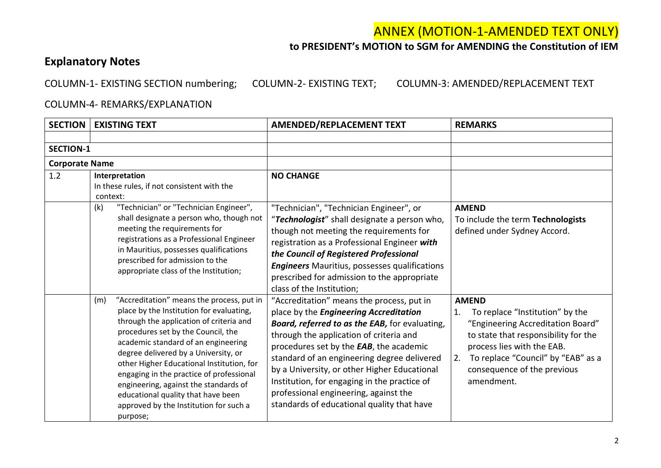#### **to PRESIDENT's MOTION to SGM for AMENDING the Constitution of IEM**

### **Explanatory Notes**

COLUMN-1- EXISTING SECTION numbering; COLUMN-2- EXISTING TEXT; COLUMN-3: AMENDED/REPLACEMENT TEXT

#### COLUMN-4- REMARKS/EXPLANATION

| <b>SECTION</b>        | <b>EXISTING TEXT</b>                                                                                                                                                                                                                                                                                                                                                                                                                                                                       | <b>AMENDED/REPLACEMENT TEXT</b>                                                                                                                                                                                                                                                                                                                                                                                                                                          | <b>REMARKS</b>                                                                                                                                                                                                                                            |
|-----------------------|--------------------------------------------------------------------------------------------------------------------------------------------------------------------------------------------------------------------------------------------------------------------------------------------------------------------------------------------------------------------------------------------------------------------------------------------------------------------------------------------|--------------------------------------------------------------------------------------------------------------------------------------------------------------------------------------------------------------------------------------------------------------------------------------------------------------------------------------------------------------------------------------------------------------------------------------------------------------------------|-----------------------------------------------------------------------------------------------------------------------------------------------------------------------------------------------------------------------------------------------------------|
|                       |                                                                                                                                                                                                                                                                                                                                                                                                                                                                                            |                                                                                                                                                                                                                                                                                                                                                                                                                                                                          |                                                                                                                                                                                                                                                           |
| <b>SECTION-1</b>      |                                                                                                                                                                                                                                                                                                                                                                                                                                                                                            |                                                                                                                                                                                                                                                                                                                                                                                                                                                                          |                                                                                                                                                                                                                                                           |
| <b>Corporate Name</b> |                                                                                                                                                                                                                                                                                                                                                                                                                                                                                            |                                                                                                                                                                                                                                                                                                                                                                                                                                                                          |                                                                                                                                                                                                                                                           |
| 1.2                   | Interpretation<br>In these rules, if not consistent with the<br>context:                                                                                                                                                                                                                                                                                                                                                                                                                   | <b>NO CHANGE</b>                                                                                                                                                                                                                                                                                                                                                                                                                                                         |                                                                                                                                                                                                                                                           |
|                       | "Technician" or "Technician Engineer",<br>(k)<br>shall designate a person who, though not<br>meeting the requirements for<br>registrations as a Professional Engineer<br>in Mauritius, possesses qualifications<br>prescribed for admission to the<br>appropriate class of the Institution;                                                                                                                                                                                                | "Technician", "Technician Engineer", or<br>"Technologist" shall designate a person who,<br>though not meeting the requirements for<br>registration as a Professional Engineer with<br>the Council of Registered Professional<br><b>Engineers</b> Mauritius, possesses qualifications<br>prescribed for admission to the appropriate<br>class of the Institution;                                                                                                         | <b>AMEND</b><br>To include the term Technologists<br>defined under Sydney Accord.                                                                                                                                                                         |
|                       | "Accreditation" means the process, put in<br>(m)<br>place by the Institution for evaluating,<br>through the application of criteria and<br>procedures set by the Council, the<br>academic standard of an engineering<br>degree delivered by a University, or<br>other Higher Educational Institution, for<br>engaging in the practice of professional<br>engineering, against the standards of<br>educational quality that have been<br>approved by the Institution for such a<br>purpose; | "Accreditation" means the process, put in<br>place by the Engineering Accreditation<br><b>Board, referred to as the EAB, for evaluating,</b><br>through the application of criteria and<br>procedures set by the EAB, the academic<br>standard of an engineering degree delivered<br>by a University, or other Higher Educational<br>Institution, for engaging in the practice of<br>professional engineering, against the<br>standards of educational quality that have | <b>AMEND</b><br>To replace "Institution" by the<br>1.<br>"Engineering Accreditation Board"<br>to state that responsibility for the<br>process lies with the EAB.<br>To replace "Council" by "EAB" as a<br>2.<br>consequence of the previous<br>amendment. |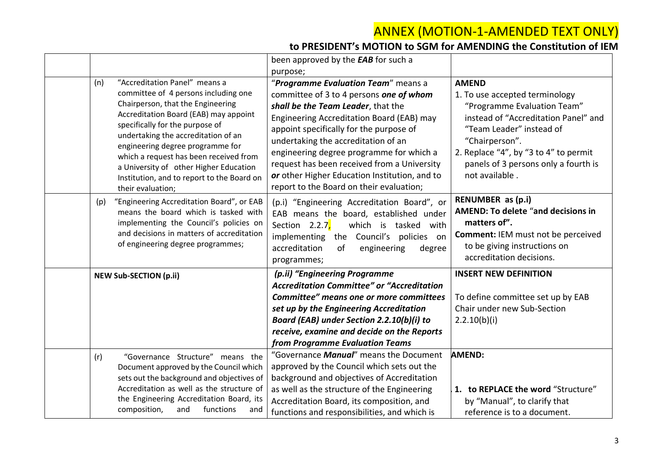|     |                                                                                                                                                                                                                                                                                                                                                                                                                          | been approved by the <b>EAB</b> for such a                                                                                                                                                                                                                                                                                                                                                                                                  |                                                                                                                                                                                                                                                                        |
|-----|--------------------------------------------------------------------------------------------------------------------------------------------------------------------------------------------------------------------------------------------------------------------------------------------------------------------------------------------------------------------------------------------------------------------------|---------------------------------------------------------------------------------------------------------------------------------------------------------------------------------------------------------------------------------------------------------------------------------------------------------------------------------------------------------------------------------------------------------------------------------------------|------------------------------------------------------------------------------------------------------------------------------------------------------------------------------------------------------------------------------------------------------------------------|
|     |                                                                                                                                                                                                                                                                                                                                                                                                                          | purpose;                                                                                                                                                                                                                                                                                                                                                                                                                                    |                                                                                                                                                                                                                                                                        |
| (n) | "Accreditation Panel" means a<br>committee of 4 persons including one<br>Chairperson, that the Engineering<br>Accreditation Board (EAB) may appoint<br>specifically for the purpose of<br>undertaking the accreditation of an<br>engineering degree programme for<br>which a request has been received from<br>a University of other Higher Education<br>Institution, and to report to the Board on<br>their evaluation; | "Programme Evaluation Team" means a<br>committee of 3 to 4 persons one of whom<br>shall be the Team Leader, that the<br>Engineering Accreditation Board (EAB) may<br>appoint specifically for the purpose of<br>undertaking the accreditation of an<br>engineering degree programme for which a<br>request has been received from a University<br>or other Higher Education Institution, and to<br>report to the Board on their evaluation; | <b>AMEND</b><br>1. To use accepted terminology<br>"Programme Evaluation Team"<br>instead of "Accreditation Panel" and<br>"Team Leader" instead of<br>"Chairperson".<br>2. Replace "4", by "3 to 4" to permit<br>panels of 3 persons only a fourth is<br>not available. |
| (p) | "Engineering Accreditation Board", or EAB<br>means the board which is tasked with<br>implementing the Council's policies on<br>and decisions in matters of accreditation<br>of engineering degree programmes;                                                                                                                                                                                                            | (p.i) "Engineering Accreditation Board", or<br>EAB means the board, established under<br>Section 2.2.7,<br>which is tasked with<br>implementing the Council's policies on<br>accreditation<br>of<br>engineering<br>degree<br>programmes;                                                                                                                                                                                                    | RENUMBER as (p.i)<br><b>AMEND: To delete "and decisions in</b><br>matters of".<br><b>Comment: IEM must not be perceived</b><br>to be giving instructions on<br>accreditation decisions.                                                                                |
|     | <b>NEW Sub-SECTION (p.ii)</b>                                                                                                                                                                                                                                                                                                                                                                                            | (p.ii) "Engineering Programme                                                                                                                                                                                                                                                                                                                                                                                                               | <b>INSERT NEW DEFINITION</b>                                                                                                                                                                                                                                           |
|     |                                                                                                                                                                                                                                                                                                                                                                                                                          | <b>Accreditation Committee" or "Accreditation</b>                                                                                                                                                                                                                                                                                                                                                                                           |                                                                                                                                                                                                                                                                        |
|     |                                                                                                                                                                                                                                                                                                                                                                                                                          | Committee" means one or more committees<br>set up by the Engineering Accreditation<br>Board (EAB) under Section 2.2.10(b)(i) to<br>receive, examine and decide on the Reports<br>from Programme Evaluation Teams                                                                                                                                                                                                                            | To define committee set up by EAB<br>Chair under new Sub-Section<br>2.2.10(b)(i)                                                                                                                                                                                       |
| (r) | "Governance Structure" means the<br>Document approved by the Council which<br>sets out the background and objectives of<br>Accreditation as well as the structure of<br>the Engineering Accreditation Board, its<br>composition,<br>and<br>functions<br>and                                                                                                                                                              | "Governance Manual" means the Document<br>approved by the Council which sets out the<br>background and objectives of Accreditation<br>as well as the structure of the Engineering<br>Accreditation Board, its composition, and<br>functions and responsibilities, and which is                                                                                                                                                              | <b>AMEND:</b><br>1. to REPLACE the word "Structure"<br>by "Manual", to clarify that<br>reference is to a document.                                                                                                                                                     |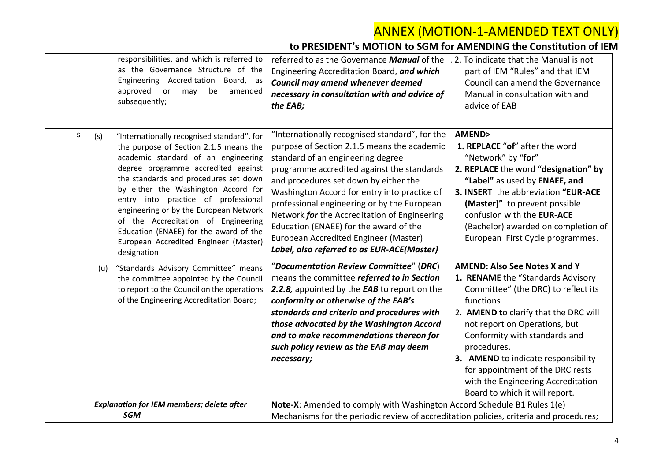|   | responsibilities, and which is referred to<br>as the Governance Structure of the<br>Engineering Accreditation Board, as<br>approved<br>or<br>may<br>be<br>amended<br>subsequently;                                                                                                                                                                                                                                                                                                  | referred to as the Governance Manual of the<br>Engineering Accreditation Board, and which<br>Council may amend whenever deemed<br>necessary in consultation with and advice of<br>the EAB;                                                                                                                                                                                                                                                                                                                | 2. To indicate that the Manual is not<br>part of IEM "Rules" and that IEM<br>Council can amend the Governance<br>Manual in consultation with and<br>advice of EAB                                                                                                                                                                                                                                          |
|---|-------------------------------------------------------------------------------------------------------------------------------------------------------------------------------------------------------------------------------------------------------------------------------------------------------------------------------------------------------------------------------------------------------------------------------------------------------------------------------------|-----------------------------------------------------------------------------------------------------------------------------------------------------------------------------------------------------------------------------------------------------------------------------------------------------------------------------------------------------------------------------------------------------------------------------------------------------------------------------------------------------------|------------------------------------------------------------------------------------------------------------------------------------------------------------------------------------------------------------------------------------------------------------------------------------------------------------------------------------------------------------------------------------------------------------|
| S | "Internationally recognised standard", for<br>(s)<br>the purpose of Section 2.1.5 means the<br>academic standard of an engineering<br>degree programme accredited against<br>the standards and procedures set down<br>by either the Washington Accord for<br>entry into practice of professional<br>engineering or by the European Network<br>of the Accreditation of Engineering<br>Education (ENAEE) for the award of the<br>European Accredited Engineer (Master)<br>designation | "Internationally recognised standard", for the<br>purpose of Section 2.1.5 means the academic<br>standard of an engineering degree<br>programme accredited against the standards<br>and procedures set down by either the<br>Washington Accord for entry into practice of<br>professional engineering or by the European<br>Network for the Accreditation of Engineering<br>Education (ENAEE) for the award of the<br>European Accredited Engineer (Master)<br>Label, also referred to as EUR-ACE(Master) | <b>AMEND&gt;</b><br>1. REPLACE "of" after the word<br>"Network" by "for"<br>2. REPLACE the word "designation" by<br>"Label" as used by ENAEE, and<br>3. INSERT the abbreviation "EUR-ACE<br>(Master)" to prevent possible<br>confusion with the EUR-ACE<br>(Bachelor) awarded on completion of<br>European First Cycle programmes.                                                                         |
|   | "Standards Advisory Committee" means<br>(u)<br>the committee appointed by the Council<br>to report to the Council on the operations<br>of the Engineering Accreditation Board;                                                                                                                                                                                                                                                                                                      | "Documentation Review Committee" (DRC)<br>means the committee referred to in Section<br>2.2.8, appointed by the EAB to report on the<br>conformity or otherwise of the EAB's<br>standards and criteria and procedures with<br>those advocated by the Washington Accord<br>and to make recommendations thereon for<br>such policy review as the EAB may deem<br>necessary;                                                                                                                                 | <b>AMEND: Also See Notes X and Y</b><br>1. RENAME the "Standards Advisory<br>Committee" (the DRC) to reflect its<br>functions<br>2. AMEND to clarify that the DRC will<br>not report on Operations, but<br>Conformity with standards and<br>procedures.<br>3. AMEND to indicate responsibility<br>for appointment of the DRC rests<br>with the Engineering Accreditation<br>Board to which it will report. |
|   | <b>Explanation for IEM members; delete after</b><br><b>SGM</b>                                                                                                                                                                                                                                                                                                                                                                                                                      | Note-X: Amended to comply with Washington Accord Schedule B1 Rules 1(e)<br>Mechanisms for the periodic review of accreditation policies, criteria and procedures;                                                                                                                                                                                                                                                                                                                                         |                                                                                                                                                                                                                                                                                                                                                                                                            |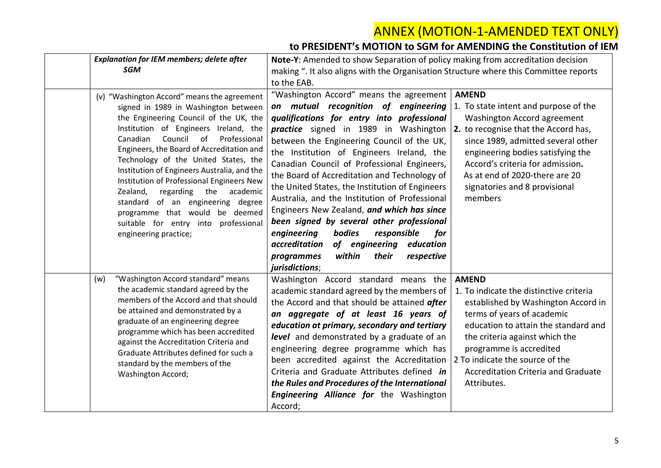| <b>Explanation for IEM members; delete after</b>                                                                                                                                                                                                                                                                                                                                                                                                                                                                                                                                      | Note-Y: Amended to show Separation of policy making from accreditation decision                                                                                                                                                                                                                                                                                                                                                                                                                                                                                                                                                                                                                                               |                                                                                                                                                                                                                                                                                                                                   |
|---------------------------------------------------------------------------------------------------------------------------------------------------------------------------------------------------------------------------------------------------------------------------------------------------------------------------------------------------------------------------------------------------------------------------------------------------------------------------------------------------------------------------------------------------------------------------------------|-------------------------------------------------------------------------------------------------------------------------------------------------------------------------------------------------------------------------------------------------------------------------------------------------------------------------------------------------------------------------------------------------------------------------------------------------------------------------------------------------------------------------------------------------------------------------------------------------------------------------------------------------------------------------------------------------------------------------------|-----------------------------------------------------------------------------------------------------------------------------------------------------------------------------------------------------------------------------------------------------------------------------------------------------------------------------------|
| <b>SGM</b>                                                                                                                                                                                                                                                                                                                                                                                                                                                                                                                                                                            | making ". It also aligns with the Organisation Structure where this Committee reports                                                                                                                                                                                                                                                                                                                                                                                                                                                                                                                                                                                                                                         |                                                                                                                                                                                                                                                                                                                                   |
|                                                                                                                                                                                                                                                                                                                                                                                                                                                                                                                                                                                       | to the EAB.                                                                                                                                                                                                                                                                                                                                                                                                                                                                                                                                                                                                                                                                                                                   |                                                                                                                                                                                                                                                                                                                                   |
| (v) "Washington Accord" means the agreement<br>signed in 1989 in Washington between<br>the Engineering Council of the UK, the<br>Institution of Engineers Ireland, the<br>Council of<br>Canadian<br>Professional<br>Engineers, the Board of Accreditation and<br>Technology of the United States, the<br>Institution of Engineers Australia, and the<br>Institution of Professional Engineers New<br>Zealand,<br>regarding<br>the<br>academic<br>standard of an engineering degree<br>programme that would be deemed<br>suitable for entry into professional<br>engineering practice; | "Washington Accord" means the agreement<br>on mutual recognition of engineering<br>qualifications for entry into professional<br>practice signed in 1989 in Washington<br>between the Engineering Council of the UK,<br>the Institution of Engineers Ireland, the<br>Canadian Council of Professional Engineers,<br>the Board of Accreditation and Technology of<br>the United States, the Institution of Engineers<br>Australia, and the Institution of Professional<br>Engineers New Zealand, and which has since<br>been signed by several other professional<br>engineering<br>bodies<br>responsible<br>for<br>accreditation<br>of engineering education<br>within<br>their<br>programmes<br>respective<br>jurisdictions; | <b>AMEND</b><br>1. To state intent and purpose of the<br>Washington Accord agreement<br>2. to recognise that the Accord has,<br>since 1989, admitted several other<br>engineering bodies satisfying the<br>Accord's criteria for admission.<br>As at end of 2020-there are 20<br>signatories and 8 provisional<br>members         |
| "Washington Accord standard" means<br>(w)<br>the academic standard agreed by the<br>members of the Accord and that should<br>be attained and demonstrated by a<br>graduate of an engineering degree<br>programme which has been accredited<br>against the Accreditation Criteria and<br>Graduate Attributes defined for such a<br>standard by the members of the<br>Washington Accord;                                                                                                                                                                                                | Washington Accord standard means the<br>academic standard agreed by the members of<br>the Accord and that should be attained after<br>an aggregate of at least 16 years of<br>education at primary, secondary and tertiary<br>level and demonstrated by a graduate of an<br>engineering degree programme which has<br>been accredited against the Accreditation<br>Criteria and Graduate Attributes defined in<br>the Rules and Procedures of the International<br>Engineering Alliance for the Washington<br>Accord;                                                                                                                                                                                                         | <b>AMEND</b><br>1. To indicate the distinctive criteria<br>established by Washington Accord in<br>terms of years of academic<br>education to attain the standard and<br>the criteria against which the<br>programme is accredited<br>2 To indicate the source of the<br><b>Accreditation Criteria and Graduate</b><br>Attributes. |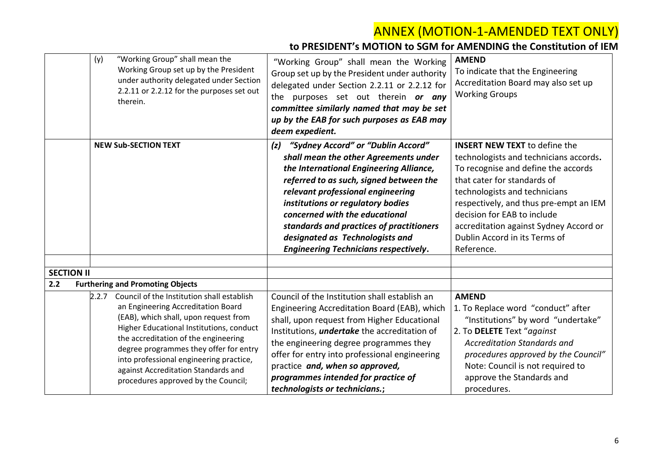|                   | "Working Group" shall mean the<br>(y)<br>Working Group set up by the President<br>under authority delegated under Section<br>2.2.11 or 2.2.12 for the purposes set out<br>therein.                                                                                                                                                                                                     | "Working Group" shall mean the Working<br>Group set up by the President under authority<br>delegated under Section 2.2.11 or 2.2.12 for<br>the purposes set out therein or any<br>committee similarly named that may be set<br>up by the EAB for such purposes as EAB may<br>deem expedient.                                                                                                                        | <b>AMEND</b><br>To indicate that the Engineering<br>Accreditation Board may also set up<br><b>Working Groups</b>                                                                                                                                                                                                                                        |
|-------------------|----------------------------------------------------------------------------------------------------------------------------------------------------------------------------------------------------------------------------------------------------------------------------------------------------------------------------------------------------------------------------------------|---------------------------------------------------------------------------------------------------------------------------------------------------------------------------------------------------------------------------------------------------------------------------------------------------------------------------------------------------------------------------------------------------------------------|---------------------------------------------------------------------------------------------------------------------------------------------------------------------------------------------------------------------------------------------------------------------------------------------------------------------------------------------------------|
| <b>SECTION II</b> | <b>NEW Sub-SECTION TEXT</b>                                                                                                                                                                                                                                                                                                                                                            | "Sydney Accord" or "Dublin Accord"<br>(z)<br>shall mean the other Agreements under<br>the International Engineering Alliance,<br>referred to as such, signed between the<br>relevant professional engineering<br>institutions or regulatory bodies<br>concerned with the educational<br>standards and practices of practitioners<br>designated as Technologists and<br><b>Engineering Technicians respectively.</b> | <b>INSERT NEW TEXT to define the</b><br>technologists and technicians accords.<br>To recognise and define the accords<br>that cater for standards of<br>technologists and technicians<br>respectively, and thus pre-empt an IEM<br>decision for EAB to include<br>accreditation against Sydney Accord or<br>Dublin Accord in its Terms of<br>Reference. |
| 2.2               | <b>Furthering and Promoting Objects</b>                                                                                                                                                                                                                                                                                                                                                |                                                                                                                                                                                                                                                                                                                                                                                                                     |                                                                                                                                                                                                                                                                                                                                                         |
|                   | 2.2.7 Council of the Institution shall establish<br>an Engineering Accreditation Board<br>(EAB), which shall, upon request from<br>Higher Educational Institutions, conduct<br>the accreditation of the engineering<br>degree programmes they offer for entry<br>into professional engineering practice,<br>against Accreditation Standards and<br>procedures approved by the Council; | Council of the Institution shall establish an<br>Engineering Accreditation Board (EAB), which<br>shall, upon request from Higher Educational<br>Institutions, <i>undertake</i> the accreditation of<br>the engineering degree programmes they<br>offer for entry into professional engineering<br>practice and, when so approved,<br>programmes intended for practice of<br>technologists or technicians.;          | <b>AMEND</b><br>1. To Replace word "conduct" after<br>"Institutions" by word "undertake"<br>2. To DELETE Text "against<br><b>Accreditation Standards and</b><br>procedures approved by the Council"<br>Note: Council is not required to<br>approve the Standards and<br>procedures.                                                                     |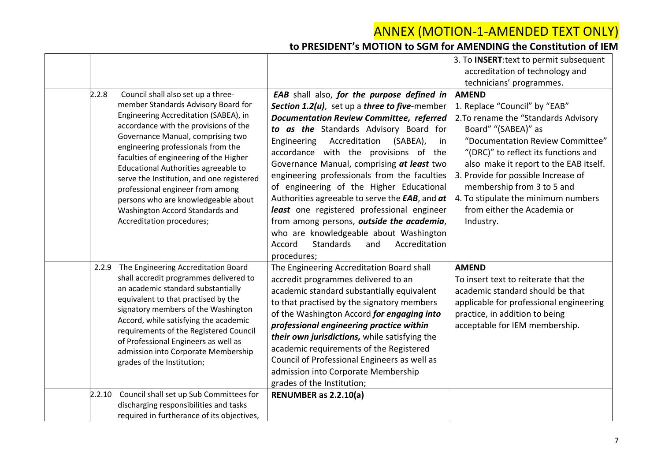|                                                                                                                                                                                                                                                                                                                                                                                                                                                                                                                           |                                                                                                                                                                                                                                                                                                                                                                                                                                                                                                                                                                             | 3. To INSERT: text to permit subsequent                                                                                                                                                                                                                                                                                                                                                    |
|---------------------------------------------------------------------------------------------------------------------------------------------------------------------------------------------------------------------------------------------------------------------------------------------------------------------------------------------------------------------------------------------------------------------------------------------------------------------------------------------------------------------------|-----------------------------------------------------------------------------------------------------------------------------------------------------------------------------------------------------------------------------------------------------------------------------------------------------------------------------------------------------------------------------------------------------------------------------------------------------------------------------------------------------------------------------------------------------------------------------|--------------------------------------------------------------------------------------------------------------------------------------------------------------------------------------------------------------------------------------------------------------------------------------------------------------------------------------------------------------------------------------------|
|                                                                                                                                                                                                                                                                                                                                                                                                                                                                                                                           |                                                                                                                                                                                                                                                                                                                                                                                                                                                                                                                                                                             | accreditation of technology and                                                                                                                                                                                                                                                                                                                                                            |
|                                                                                                                                                                                                                                                                                                                                                                                                                                                                                                                           |                                                                                                                                                                                                                                                                                                                                                                                                                                                                                                                                                                             | technicians' programmes.                                                                                                                                                                                                                                                                                                                                                                   |
| 2.2.8<br>Council shall also set up a three-<br>member Standards Advisory Board for<br>Engineering Accreditation (SABEA), in<br>accordance with the provisions of the<br>Governance Manual, comprising two<br>engineering professionals from the<br>faculties of engineering of the Higher<br>Educational Authorities agreeable to<br>serve the Institution, and one registered<br>professional engineer from among<br>persons who are knowledgeable about<br>Washington Accord Standards and<br>Accreditation procedures; | EAB shall also, for the purpose defined in<br>Section 1.2(u), set up a three to five-member<br><b>Documentation Review Committee, referred</b><br>to as the Standards Advisory Board for<br>Accreditation<br>Engineering<br>(SABEA),<br>in.<br>accordance with the provisions of the<br>Governance Manual, comprising at least two<br>engineering professionals from the faculties<br>of engineering of the Higher Educational<br>Authorities agreeable to serve the EAB, and at<br>least one registered professional engineer<br>from among persons, outside the academia, | <b>AMEND</b><br>1. Replace "Council" by "EAB"<br>2. To rename the "Standards Advisory<br>Board" "(SABEA)" as<br>"Documentation Review Committee"<br>"(DRC)" to reflect its functions and<br>also make it report to the EAB itself.<br>3. Provide for possible Increase of<br>membership from 3 to 5 and<br>4. To stipulate the minimum numbers<br>from either the Academia or<br>Industry. |
|                                                                                                                                                                                                                                                                                                                                                                                                                                                                                                                           | who are knowledgeable about Washington<br><b>Standards</b><br>Accord<br>Accreditation<br>and<br>procedures;                                                                                                                                                                                                                                                                                                                                                                                                                                                                 |                                                                                                                                                                                                                                                                                                                                                                                            |
| 2.2.9 The Engineering Accreditation Board<br>shall accredit programmes delivered to<br>an academic standard substantially<br>equivalent to that practised by the<br>signatory members of the Washington<br>Accord, while satisfying the academic<br>requirements of the Registered Council<br>of Professional Engineers as well as<br>admission into Corporate Membership<br>grades of the Institution;                                                                                                                   | The Engineering Accreditation Board shall<br>accredit programmes delivered to an<br>academic standard substantially equivalent<br>to that practised by the signatory members<br>of the Washington Accord for engaging into<br>professional engineering practice within<br>their own jurisdictions, while satisfying the<br>academic requirements of the Registered<br>Council of Professional Engineers as well as<br>admission into Corporate Membership<br>grades of the Institution;                                                                                     | <b>AMEND</b><br>To insert text to reiterate that the<br>academic standard should be that<br>applicable for professional engineering<br>practice, in addition to being<br>acceptable for IEM membership.                                                                                                                                                                                    |
| Council shall set up Sub Committees for<br>2.2.10<br>discharging responsibilities and tasks<br>required in furtherance of its objectives,                                                                                                                                                                                                                                                                                                                                                                                 | RENUMBER as 2.2.10(a)                                                                                                                                                                                                                                                                                                                                                                                                                                                                                                                                                       |                                                                                                                                                                                                                                                                                                                                                                                            |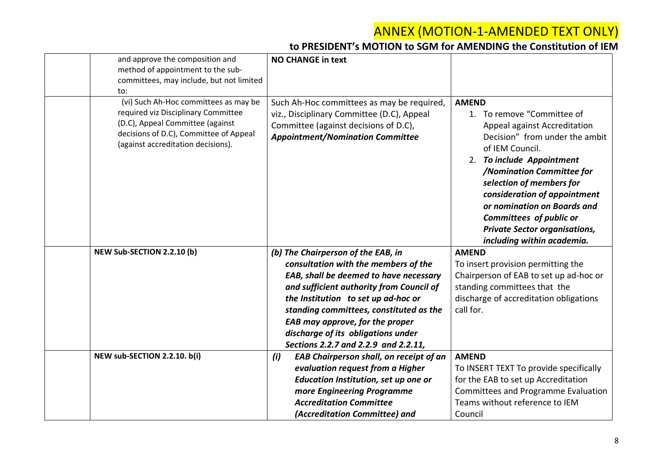| and approve the composition and<br>method of appointment to the sub-<br>committees, may include, but not limited<br>to:                                                                          | <b>NO CHANGE in text</b>                                                                                                                                                     |                                                                                                                                                                                                                                                                                                                                                                                       |
|--------------------------------------------------------------------------------------------------------------------------------------------------------------------------------------------------|------------------------------------------------------------------------------------------------------------------------------------------------------------------------------|---------------------------------------------------------------------------------------------------------------------------------------------------------------------------------------------------------------------------------------------------------------------------------------------------------------------------------------------------------------------------------------|
| (vi) Such Ah-Hoc committees as may be<br>required viz Disciplinary Committee<br>(D.C), Appeal Committee (against<br>decisions of D.C), Committee of Appeal<br>(against accreditation decisions). | Such Ah-Hoc committees as may be required,<br>viz., Disciplinary Committee (D.C), Appeal<br>Committee (against decisions of D.C),<br><b>Appointment/Nomination Committee</b> | <b>AMEND</b><br>1. To remove "Committee of<br>Appeal against Accreditation<br>Decision" from under the ambit<br>of IEM Council.<br>2. To include Appointment<br>/Nomination Committee for<br>selection of members for<br>consideration of appointment<br>or nomination on Boards and<br>Committees of public or<br><b>Private Sector organisations,</b><br>including within academia. |
| NEW Sub-SECTION 2.2.10 (b)                                                                                                                                                                       | (b) The Chairperson of the EAB, in                                                                                                                                           | <b>AMEND</b>                                                                                                                                                                                                                                                                                                                                                                          |
|                                                                                                                                                                                                  | consultation with the members of the                                                                                                                                         | To insert provision permitting the                                                                                                                                                                                                                                                                                                                                                    |
|                                                                                                                                                                                                  | EAB, shall be deemed to have necessary                                                                                                                                       | Chairperson of EAB to set up ad-hoc or                                                                                                                                                                                                                                                                                                                                                |
|                                                                                                                                                                                                  | and sufficient authority from Council of                                                                                                                                     | standing committees that the                                                                                                                                                                                                                                                                                                                                                          |
|                                                                                                                                                                                                  | the Institution to set up ad-hoc or                                                                                                                                          | discharge of accreditation obligations                                                                                                                                                                                                                                                                                                                                                |
|                                                                                                                                                                                                  | standing committees, constituted as the                                                                                                                                      | call for.                                                                                                                                                                                                                                                                                                                                                                             |
|                                                                                                                                                                                                  | EAB may approve, for the proper                                                                                                                                              |                                                                                                                                                                                                                                                                                                                                                                                       |
|                                                                                                                                                                                                  | discharge of its obligations under<br>Sections 2.2.7 and 2.2.9 and 2.2.11,                                                                                                   |                                                                                                                                                                                                                                                                                                                                                                                       |
| NEW sub-SECTION 2.2.10. b(i)                                                                                                                                                                     | (i)<br>EAB Chairperson shall, on receipt of an                                                                                                                               | <b>AMEND</b>                                                                                                                                                                                                                                                                                                                                                                          |
|                                                                                                                                                                                                  | evaluation request from a Higher                                                                                                                                             | To INSERT TEXT To provide specifically                                                                                                                                                                                                                                                                                                                                                |
|                                                                                                                                                                                                  | Education Institution, set up one or                                                                                                                                         | for the EAB to set up Accreditation                                                                                                                                                                                                                                                                                                                                                   |
|                                                                                                                                                                                                  | more Engineering Programme                                                                                                                                                   | Committees and Programme Evaluation                                                                                                                                                                                                                                                                                                                                                   |
|                                                                                                                                                                                                  | <b>Accreditation Committee</b>                                                                                                                                               | Teams without reference to IEM                                                                                                                                                                                                                                                                                                                                                        |
|                                                                                                                                                                                                  | (Accreditation Committee) and                                                                                                                                                | Council                                                                                                                                                                                                                                                                                                                                                                               |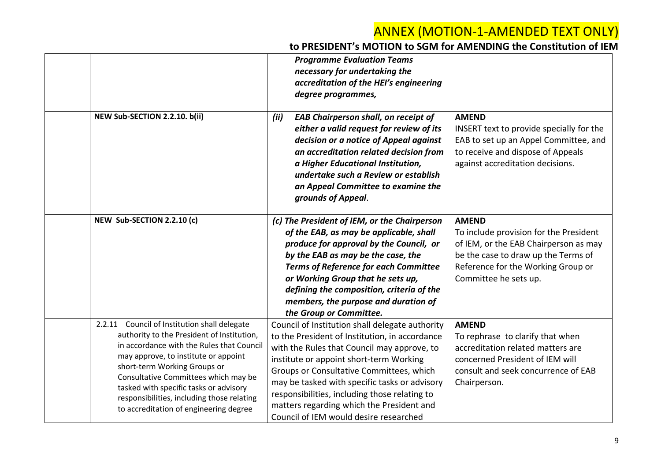|                                                                                                                                                                                                                                                                                                                                                                                              | <b>Programme Evaluation Teams</b><br>necessary for undertaking the<br>accreditation of the HEI's engineering<br>degree programmes,                                                                                                                                                                                                                                                                                               |                                                                                                                                                                                                       |
|----------------------------------------------------------------------------------------------------------------------------------------------------------------------------------------------------------------------------------------------------------------------------------------------------------------------------------------------------------------------------------------------|----------------------------------------------------------------------------------------------------------------------------------------------------------------------------------------------------------------------------------------------------------------------------------------------------------------------------------------------------------------------------------------------------------------------------------|-------------------------------------------------------------------------------------------------------------------------------------------------------------------------------------------------------|
| NEW Sub-SECTION 2.2.10. b(ii)                                                                                                                                                                                                                                                                                                                                                                | <b>EAB Chairperson shall, on receipt of</b><br>(ii)<br>either a valid request for review of its<br>decision or a notice of Appeal against<br>an accreditation related decision from<br>a Higher Educational Institution,<br>undertake such a Review or establish<br>an Appeal Committee to examine the<br>grounds of Appeal.                                                                                                     | <b>AMEND</b><br>INSERT text to provide specially for the<br>EAB to set up an Appel Committee, and<br>to receive and dispose of Appeals<br>against accreditation decisions.                            |
| NEW Sub-SECTION 2.2.10 (c)                                                                                                                                                                                                                                                                                                                                                                   | (c) The President of IEM, or the Chairperson<br>of the EAB, as may be applicable, shall<br>produce for approval by the Council, or<br>by the EAB as may be the case, the<br><b>Terms of Reference for each Committee</b><br>or Working Group that he sets up,<br>defining the composition, criteria of the<br>members, the purpose and duration of<br>the Group or Committee.                                                    | <b>AMEND</b><br>To include provision for the President<br>of IEM, or the EAB Chairperson as may<br>be the case to draw up the Terms of<br>Reference for the Working Group or<br>Committee he sets up. |
| Council of Institution shall delegate<br>2.2.11<br>authority to the President of Institution,<br>in accordance with the Rules that Council<br>may approve, to institute or appoint<br>short-term Working Groups or<br>Consultative Committees which may be<br>tasked with specific tasks or advisory<br>responsibilities, including those relating<br>to accreditation of engineering degree | Council of Institution shall delegate authority<br>to the President of Institution, in accordance<br>with the Rules that Council may approve, to<br>institute or appoint short-term Working<br>Groups or Consultative Committees, which<br>may be tasked with specific tasks or advisory<br>responsibilities, including those relating to<br>matters regarding which the President and<br>Council of IEM would desire researched | <b>AMEND</b><br>To rephrase to clarify that when<br>accreditation related matters are<br>concerned President of IEM will<br>consult and seek concurrence of EAB<br>Chairperson.                       |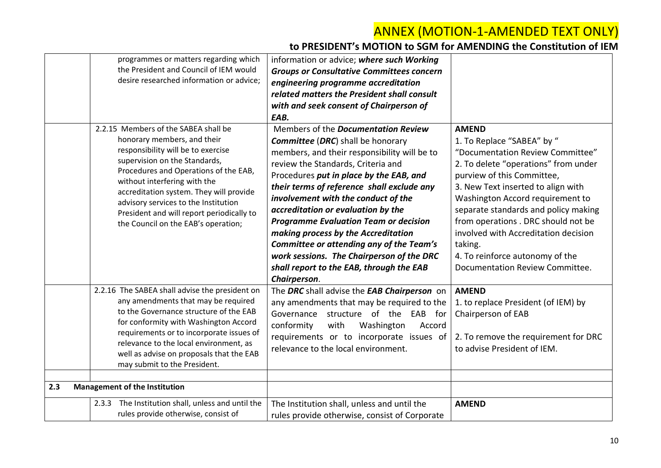| programmes or matters regarding which<br>the President and Council of IEM would<br>desire researched information or advice;                                                                                                                                                                                                                                                                | information or advice; where such Working<br><b>Groups or Consultative Committees concern</b><br>engineering programme accreditation<br>related matters the President shall consult<br>with and seek consent of Chairperson of<br>EAB.                                                                                                                                                                                                                                                                                                                                                         |                                                                                                                                                                                                                                                                                                                                                                                                                                        |
|--------------------------------------------------------------------------------------------------------------------------------------------------------------------------------------------------------------------------------------------------------------------------------------------------------------------------------------------------------------------------------------------|------------------------------------------------------------------------------------------------------------------------------------------------------------------------------------------------------------------------------------------------------------------------------------------------------------------------------------------------------------------------------------------------------------------------------------------------------------------------------------------------------------------------------------------------------------------------------------------------|----------------------------------------------------------------------------------------------------------------------------------------------------------------------------------------------------------------------------------------------------------------------------------------------------------------------------------------------------------------------------------------------------------------------------------------|
| 2.2.15 Members of the SABEA shall be<br>honorary members, and their<br>responsibility will be to exercise<br>supervision on the Standards,<br>Procedures and Operations of the EAB,<br>without interfering with the<br>accreditation system. They will provide<br>advisory services to the Institution<br>President and will report periodically to<br>the Council on the EAB's operation; | Members of the <i>Documentation Review</i><br><b>Committee (DRC)</b> shall be honorary<br>members, and their responsibility will be to<br>review the Standards, Criteria and<br>Procedures put in place by the EAB, and<br>their terms of reference shall exclude any<br>involvement with the conduct of the<br>accreditation or evaluation by the<br><b>Programme Evaluation Team or decision</b><br>making process by the Accreditation<br>Committee or attending any of the Team's<br>work sessions. The Chairperson of the DRC<br>shall report to the EAB, through the EAB<br>Chairperson. | <b>AMEND</b><br>1. To Replace "SABEA" by "<br>"Documentation Review Committee"<br>2. To delete "operations" from under<br>purview of this Committee,<br>3. New Text inserted to align with<br>Washington Accord requirement to<br>separate standards and policy making<br>from operations . DRC should not be<br>involved with Accreditation decision<br>taking.<br>4. To reinforce autonomy of the<br>Documentation Review Committee. |
| 2.2.16 The SABEA shall advise the president on<br>any amendments that may be required<br>to the Governance structure of the EAB<br>for conformity with Washington Accord<br>requirements or to incorporate issues of<br>relevance to the local environment, as<br>well as advise on proposals that the EAB<br>may submit to the President.                                                 | The DRC shall advise the EAB Chairperson on<br>any amendments that may be required to the<br>Governance structure of the EAB for<br>conformity<br>with<br>Washington<br>Accord<br>requirements or to incorporate issues of<br>relevance to the local environment.                                                                                                                                                                                                                                                                                                                              | <b>AMEND</b><br>1. to replace President (of IEM) by<br>Chairperson of EAB<br>2. To remove the requirement for DRC<br>to advise President of IEM.                                                                                                                                                                                                                                                                                       |
| 2.3<br><b>Management of the Institution</b><br>2.3.3 The Institution shall, unless and until the<br>rules provide otherwise, consist of                                                                                                                                                                                                                                                    | The Institution shall, unless and until the<br>rules provide otherwise, consist of Corporate                                                                                                                                                                                                                                                                                                                                                                                                                                                                                                   | <b>AMEND</b>                                                                                                                                                                                                                                                                                                                                                                                                                           |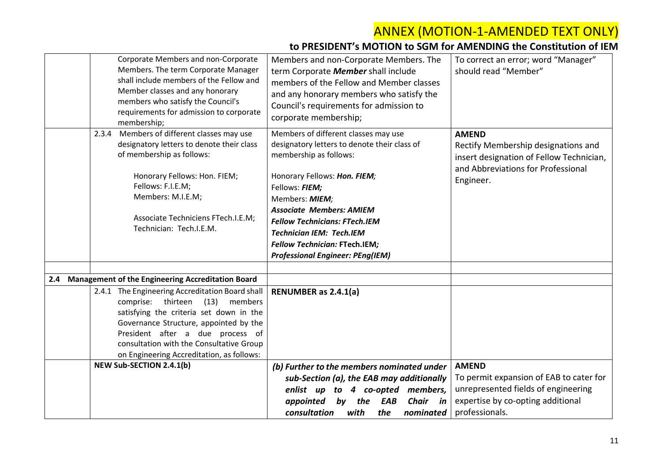|     | Corporate Members and non-Corporate<br>Members. The term Corporate Manager<br>shall include members of the Fellow and<br>Member classes and any honorary<br>members who satisfy the Council's<br>requirements for admission to corporate<br>membership;                                              | Members and non-Corporate Members. The<br>term Corporate Member shall include<br>members of the Fellow and Member classes<br>and any honorary members who satisfy the<br>Council's requirements for admission to<br>corporate membership;                                                                                                                                           | To correct an error; word "Manager"<br>should read "Member"                                                                                           |
|-----|------------------------------------------------------------------------------------------------------------------------------------------------------------------------------------------------------------------------------------------------------------------------------------------------------|-------------------------------------------------------------------------------------------------------------------------------------------------------------------------------------------------------------------------------------------------------------------------------------------------------------------------------------------------------------------------------------|-------------------------------------------------------------------------------------------------------------------------------------------------------|
|     | 2.3.4 Members of different classes may use<br>designatory letters to denote their class<br>of membership as follows:<br>Honorary Fellows: Hon. FIEM;<br>Fellows: F.I.E.M;<br>Members: M.I.E.M;<br>Associate Techniciens FTech.I.E.M;<br>Technician: Tech.I.E.M.                                      | Members of different classes may use<br>designatory letters to denote their class of<br>membership as follows:<br>Honorary Fellows: Hon. FIEM;<br>Fellows: FIEM;<br>Members: MIEM;<br><b>Associate Members: AMIEM</b><br><b>Fellow Technicians: FTech.IEM</b><br><b>Technician IEM: Tech.IEM</b><br><b>Fellow Technician: FTech.IEM;</b><br><b>Professional Engineer: PEng(IEM)</b> | <b>AMEND</b><br>Rectify Membership designations and<br>insert designation of Fellow Technician,<br>and Abbreviations for Professional<br>Engineer.    |
| 2.4 | <b>Management of the Engineering Accreditation Board</b>                                                                                                                                                                                                                                             |                                                                                                                                                                                                                                                                                                                                                                                     |                                                                                                                                                       |
|     | 2.4.1 The Engineering Accreditation Board shall<br>comprise: thirteen (13) members<br>satisfying the criteria set down in the<br>Governance Structure, appointed by the<br>President after a due process of<br>consultation with the Consultative Group<br>on Engineering Accreditation, as follows: | <b>RENUMBER as 2.4.1(a)</b>                                                                                                                                                                                                                                                                                                                                                         |                                                                                                                                                       |
|     | <b>NEW Sub-SECTION 2.4.1(b)</b>                                                                                                                                                                                                                                                                      | (b) Further to the members nominated under<br>sub-Section (a), the EAB may additionally<br>enlist up to 4 co-opted members,<br>appointed by the<br>Chair in<br>EAB<br>consultation<br>with<br>the<br>nominated                                                                                                                                                                      | <b>AMEND</b><br>To permit expansion of EAB to cater for<br>unrepresented fields of engineering<br>expertise by co-opting additional<br>professionals. |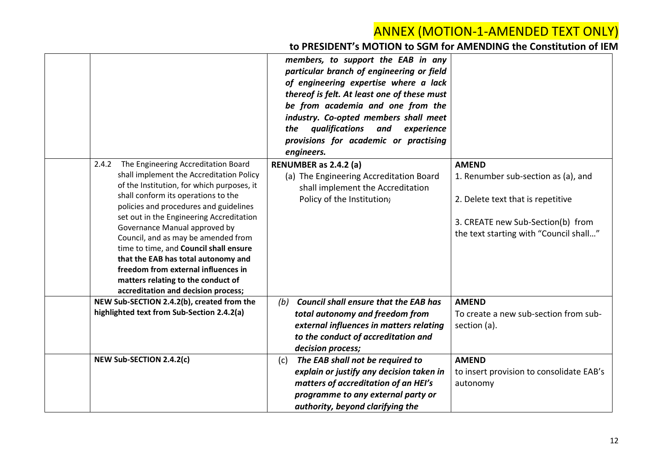|                                                                                        | members, to support the EAB in any<br>particular branch of engineering or field<br>of engineering expertise where a lack<br>thereof is felt. At least one of these must<br>be from academia and one from the<br>industry. Co-opted members shall meet<br>qualifications and<br>experience<br>the<br>provisions for academic or practising<br>engineers. |                                          |
|----------------------------------------------------------------------------------------|---------------------------------------------------------------------------------------------------------------------------------------------------------------------------------------------------------------------------------------------------------------------------------------------------------------------------------------------------------|------------------------------------------|
| The Engineering Accreditation Board<br>2.4.2                                           | RENUMBER as 2.4.2 (a)                                                                                                                                                                                                                                                                                                                                   | <b>AMEND</b>                             |
| shall implement the Accreditation Policy<br>of the Institution, for which purposes, it | (a) The Engineering Accreditation Board<br>shall implement the Accreditation                                                                                                                                                                                                                                                                            | 1. Renumber sub-section as (a), and      |
| shall conform its operations to the                                                    | Policy of the Institution;                                                                                                                                                                                                                                                                                                                              | 2. Delete text that is repetitive        |
| policies and procedures and guidelines<br>set out in the Engineering Accreditation     |                                                                                                                                                                                                                                                                                                                                                         |                                          |
| Governance Manual approved by                                                          |                                                                                                                                                                                                                                                                                                                                                         | 3. CREATE new Sub-Section(b) from        |
| Council, and as may be amended from                                                    |                                                                                                                                                                                                                                                                                                                                                         | the text starting with "Council shall"   |
| time to time, and Council shall ensure                                                 |                                                                                                                                                                                                                                                                                                                                                         |                                          |
| that the EAB has total autonomy and<br>freedom from external influences in             |                                                                                                                                                                                                                                                                                                                                                         |                                          |
| matters relating to the conduct of                                                     |                                                                                                                                                                                                                                                                                                                                                         |                                          |
| accreditation and decision process;                                                    |                                                                                                                                                                                                                                                                                                                                                         |                                          |
| NEW Sub-SECTION 2.4.2(b), created from the                                             | <b>Council shall ensure that the EAB has</b><br>(b)                                                                                                                                                                                                                                                                                                     | <b>AMEND</b>                             |
| highlighted text from Sub-Section 2.4.2(a)                                             | total autonomy and freedom from                                                                                                                                                                                                                                                                                                                         | To create a new sub-section from sub-    |
|                                                                                        | external influences in matters relating                                                                                                                                                                                                                                                                                                                 | section (a).                             |
|                                                                                        | to the conduct of accreditation and                                                                                                                                                                                                                                                                                                                     |                                          |
| NEW Sub-SECTION 2.4.2(c)                                                               | decision process;<br>The EAB shall not be required to<br>(c)                                                                                                                                                                                                                                                                                            | <b>AMEND</b>                             |
|                                                                                        | explain or justify any decision taken in                                                                                                                                                                                                                                                                                                                | to insert provision to consolidate EAB's |
|                                                                                        | matters of accreditation of an HEI's                                                                                                                                                                                                                                                                                                                    | autonomy                                 |
|                                                                                        | programme to any external party or                                                                                                                                                                                                                                                                                                                      |                                          |
|                                                                                        | authority, beyond clarifying the                                                                                                                                                                                                                                                                                                                        |                                          |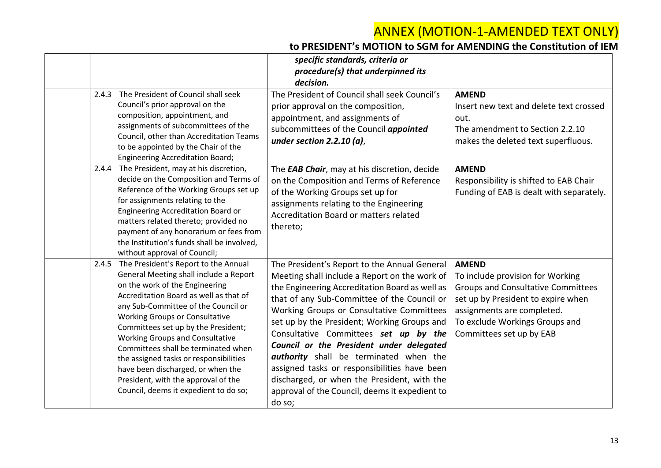|       |                                                                                                                                                                                                                                                                                                                                                                                                                                                                                                                                   | specific standards, criteria or<br>procedure(s) that underpinned its<br>decision.                                                                                                                                                                                                                                                                                                                                                                                                                                                                                                           |                                                                                                                                                                                                                                 |
|-------|-----------------------------------------------------------------------------------------------------------------------------------------------------------------------------------------------------------------------------------------------------------------------------------------------------------------------------------------------------------------------------------------------------------------------------------------------------------------------------------------------------------------------------------|---------------------------------------------------------------------------------------------------------------------------------------------------------------------------------------------------------------------------------------------------------------------------------------------------------------------------------------------------------------------------------------------------------------------------------------------------------------------------------------------------------------------------------------------------------------------------------------------|---------------------------------------------------------------------------------------------------------------------------------------------------------------------------------------------------------------------------------|
| 2.4.3 | The President of Council shall seek<br>Council's prior approval on the<br>composition, appointment, and<br>assignments of subcommittees of the<br>Council, other than Accreditation Teams<br>to be appointed by the Chair of the<br><b>Engineering Accreditation Board;</b>                                                                                                                                                                                                                                                       | The President of Council shall seek Council's<br>prior approval on the composition,<br>appointment, and assignments of<br>subcommittees of the Council appointed<br>under section $2.2.10$ (a),                                                                                                                                                                                                                                                                                                                                                                                             | <b>AMEND</b><br>Insert new text and delete text crossed<br>out.<br>The amendment to Section 2.2.10<br>makes the deleted text superfluous.                                                                                       |
| 2.4.4 | The President, may at his discretion,<br>decide on the Composition and Terms of<br>Reference of the Working Groups set up<br>for assignments relating to the<br>Engineering Accreditation Board or<br>matters related thereto; provided no<br>payment of any honorarium or fees from<br>the Institution's funds shall be involved,<br>without approval of Council;                                                                                                                                                                | The <b>EAB Chair</b> , may at his discretion, decide<br>on the Composition and Terms of Reference<br>of the Working Groups set up for<br>assignments relating to the Engineering<br>Accreditation Board or matters related<br>thereto;                                                                                                                                                                                                                                                                                                                                                      | <b>AMEND</b><br>Responsibility is shifted to EAB Chair<br>Funding of EAB is dealt with separately.                                                                                                                              |
| 2.4.5 | The President's Report to the Annual<br>General Meeting shall include a Report<br>on the work of the Engineering<br>Accreditation Board as well as that of<br>any Sub-Committee of the Council or<br><b>Working Groups or Consultative</b><br>Committees set up by the President;<br><b>Working Groups and Consultative</b><br>Committees shall be terminated when<br>the assigned tasks or responsibilities<br>have been discharged, or when the<br>President, with the approval of the<br>Council, deems it expedient to do so; | The President's Report to the Annual General<br>Meeting shall include a Report on the work of<br>the Engineering Accreditation Board as well as<br>that of any Sub-Committee of the Council or<br>Working Groups or Consultative Committees<br>set up by the President; Working Groups and<br>Consultative Committees set up by the<br>Council or the President under delegated<br><b>authority</b> shall be terminated when the<br>assigned tasks or responsibilities have been<br>discharged, or when the President, with the<br>approval of the Council, deems it expedient to<br>do so; | <b>AMEND</b><br>To include provision for Working<br><b>Groups and Consultative Committees</b><br>set up by President to expire when<br>assignments are completed.<br>To exclude Workings Groups and<br>Committees set up by EAB |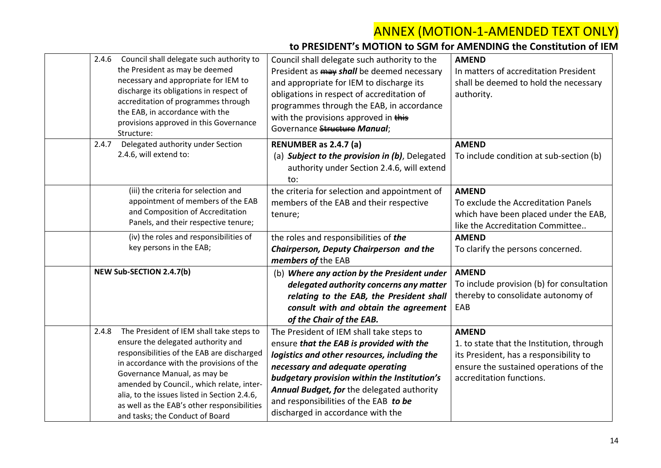| 2.4.6<br>Council shall delegate such authority to<br>the President as may be deemed<br>necessary and appropriate for IEM to<br>discharge its obligations in respect of<br>accreditation of programmes through<br>the EAB, in accordance with the<br>provisions approved in this Governance<br>Structure:                                                                                         | Council shall delegate such authority to the<br>President as <b>may shall</b> be deemed necessary<br>and appropriate for IEM to discharge its<br>obligations in respect of accreditation of<br>programmes through the EAB, in accordance<br>with the provisions approved in this<br>Governance Structure Manual;                                     | <b>AMEND</b><br>In matters of accreditation President<br>shall be deemed to hold the necessary<br>authority.                                                              |
|--------------------------------------------------------------------------------------------------------------------------------------------------------------------------------------------------------------------------------------------------------------------------------------------------------------------------------------------------------------------------------------------------|------------------------------------------------------------------------------------------------------------------------------------------------------------------------------------------------------------------------------------------------------------------------------------------------------------------------------------------------------|---------------------------------------------------------------------------------------------------------------------------------------------------------------------------|
| Delegated authority under Section<br>2.4.7<br>2.4.6, will extend to:                                                                                                                                                                                                                                                                                                                             | RENUMBER as 2.4.7 (a)<br>(a) Subject to the provision in (b), Delegated<br>authority under Section 2.4.6, will extend<br>to:                                                                                                                                                                                                                         | <b>AMEND</b><br>To include condition at sub-section (b)                                                                                                                   |
| (iii) the criteria for selection and<br>appointment of members of the EAB<br>and Composition of Accreditation<br>Panels, and their respective tenure;                                                                                                                                                                                                                                            | the criteria for selection and appointment of<br>members of the EAB and their respective<br>tenure;                                                                                                                                                                                                                                                  | <b>AMEND</b><br>To exclude the Accreditation Panels<br>which have been placed under the EAB,<br>like the Accreditation Committee                                          |
| (iv) the roles and responsibilities of<br>key persons in the EAB;                                                                                                                                                                                                                                                                                                                                | the roles and responsibilities of the<br>Chairperson, Deputy Chairperson and the<br>members of the EAB                                                                                                                                                                                                                                               | <b>AMEND</b><br>To clarify the persons concerned.                                                                                                                         |
| <b>NEW Sub-SECTION 2.4.7(b)</b>                                                                                                                                                                                                                                                                                                                                                                  | (b) Where any action by the President under<br>delegated authority concerns any matter<br>relating to the EAB, the President shall<br>consult with and obtain the agreement<br>of the Chair of the EAB.                                                                                                                                              | <b>AMEND</b><br>To include provision (b) for consultation<br>thereby to consolidate autonomy of<br>EAB                                                                    |
| The President of IEM shall take steps to<br>2.4.8<br>ensure the delegated authority and<br>responsibilities of the EAB are discharged<br>in accordance with the provisions of the<br>Governance Manual, as may be<br>amended by Council., which relate, inter-<br>alia, to the issues listed in Section 2.4.6,<br>as well as the EAB's other responsibilities<br>and tasks; the Conduct of Board | The President of IEM shall take steps to<br>ensure that the EAB is provided with the<br>logistics and other resources, including the<br>necessary and adequate operating<br>budgetary provision within the Institution's<br>Annual Budget, for the delegated authority<br>and responsibilities of the EAB to be<br>discharged in accordance with the | <b>AMEND</b><br>1. to state that the Institution, through<br>its President, has a responsibility to<br>ensure the sustained operations of the<br>accreditation functions. |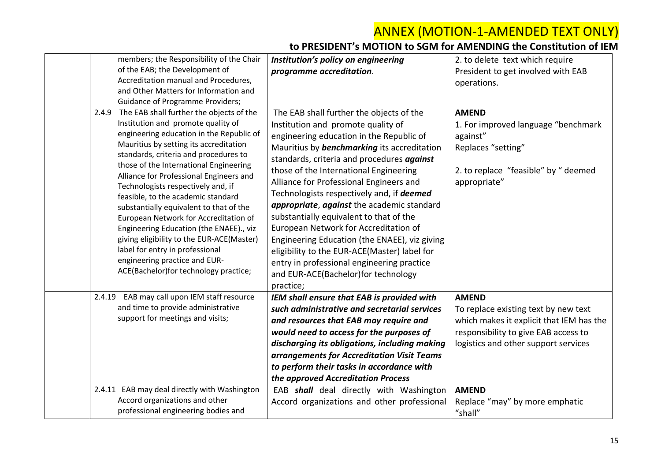| members; the Responsibility of the Chair                                                                                                                                                                                                                                                                                                                                                                                                                                    | Institution's policy on engineering                                                                                                                                                                                                                                                                                                                                                                                                                       | 2. to delete text which require                                                                                                                                                  |
|-----------------------------------------------------------------------------------------------------------------------------------------------------------------------------------------------------------------------------------------------------------------------------------------------------------------------------------------------------------------------------------------------------------------------------------------------------------------------------|-----------------------------------------------------------------------------------------------------------------------------------------------------------------------------------------------------------------------------------------------------------------------------------------------------------------------------------------------------------------------------------------------------------------------------------------------------------|----------------------------------------------------------------------------------------------------------------------------------------------------------------------------------|
| of the EAB; the Development of                                                                                                                                                                                                                                                                                                                                                                                                                                              | programme accreditation.                                                                                                                                                                                                                                                                                                                                                                                                                                  | President to get involved with EAB                                                                                                                                               |
| Accreditation manual and Procedures,                                                                                                                                                                                                                                                                                                                                                                                                                                        |                                                                                                                                                                                                                                                                                                                                                                                                                                                           | operations.                                                                                                                                                                      |
| and Other Matters for Information and                                                                                                                                                                                                                                                                                                                                                                                                                                       |                                                                                                                                                                                                                                                                                                                                                                                                                                                           |                                                                                                                                                                                  |
| <b>Guidance of Programme Providers;</b>                                                                                                                                                                                                                                                                                                                                                                                                                                     |                                                                                                                                                                                                                                                                                                                                                                                                                                                           |                                                                                                                                                                                  |
| The EAB shall further the objects of the<br>2.4.9<br>Institution and promote quality of<br>engineering education in the Republic of<br>Mauritius by setting its accreditation<br>standards, criteria and procedures to<br>those of the International Engineering<br>Alliance for Professional Engineers and<br>Technologists respectively and, if<br>feasible, to the academic standard<br>substantially equivalent to that of the<br>European Network for Accreditation of | The EAB shall further the objects of the<br>Institution and promote quality of<br>engineering education in the Republic of<br>Mauritius by <b>benchmarking</b> its accreditation<br>standards, criteria and procedures against<br>those of the International Engineering<br>Alliance for Professional Engineers and<br>Technologists respectively and, if deemed<br>appropriate, against the academic standard<br>substantially equivalent to that of the | <b>AMEND</b><br>1. For improved language "benchmark<br>against"<br>Replaces "setting"<br>2. to replace "feasible" by " deemed<br>appropriate"                                    |
| Engineering Education (the ENAEE)., viz<br>giving eligibility to the EUR-ACE(Master)<br>label for entry in professional<br>engineering practice and EUR-<br>ACE(Bachelor)for technology practice;                                                                                                                                                                                                                                                                           | European Network for Accreditation of<br>Engineering Education (the ENAEE), viz giving<br>eligibility to the EUR-ACE(Master) label for<br>entry in professional engineering practice<br>and EUR-ACE(Bachelor)for technology<br>practice;                                                                                                                                                                                                                  |                                                                                                                                                                                  |
| EAB may call upon IEM staff resource<br>2.4.19<br>and time to provide administrative<br>support for meetings and visits;                                                                                                                                                                                                                                                                                                                                                    | IEM shall ensure that EAB is provided with<br>such administrative and secretarial services<br>and resources that EAB may require and<br>would need to access for the purposes of<br>discharging its obligations, including making<br>arrangements for Accreditation Visit Teams<br>to perform their tasks in accordance with<br>the approved Accreditation Process                                                                                        | <b>AMEND</b><br>To replace existing text by new text<br>which makes it explicit that IEM has the<br>responsibility to give EAB access to<br>logistics and other support services |
| 2.4.11 EAB may deal directly with Washington<br>Accord organizations and other<br>professional engineering bodies and                                                                                                                                                                                                                                                                                                                                                       | EAB shall deal directly with Washington<br>Accord organizations and other professional                                                                                                                                                                                                                                                                                                                                                                    | <b>AMEND</b><br>Replace "may" by more emphatic<br>"shall"                                                                                                                        |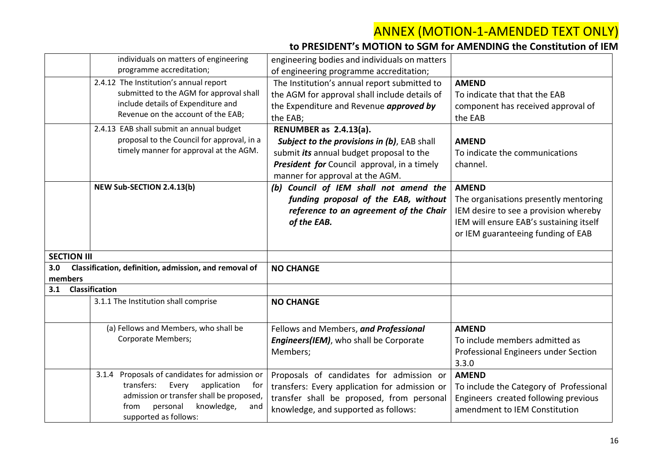|                                                              | individuals on matters of engineering      | engineering bodies and individuals on matters |                                         |
|--------------------------------------------------------------|--------------------------------------------|-----------------------------------------------|-----------------------------------------|
|                                                              | programme accreditation;                   | of engineering programme accreditation;       |                                         |
|                                                              | 2.4.12 The Institution's annual report     | The Institution's annual report submitted to  | <b>AMEND</b>                            |
|                                                              | submitted to the AGM for approval shall    | the AGM for approval shall include details of | To indicate that that the EAB           |
|                                                              | include details of Expenditure and         | the Expenditure and Revenue approved by       | component has received approval of      |
|                                                              | Revenue on the account of the EAB;         | the EAB;                                      | the EAB                                 |
|                                                              | 2.4.13 EAB shall submit an annual budget   | RENUMBER as 2.4.13(a).                        |                                         |
|                                                              | proposal to the Council for approval, in a | Subject to the provisions in (b), EAB shall   | <b>AMEND</b>                            |
|                                                              | timely manner for approval at the AGM.     | submit its annual budget proposal to the      | To indicate the communications          |
|                                                              |                                            | President for Council approval, in a timely   | channel.                                |
|                                                              |                                            | manner for approval at the AGM.               |                                         |
| NEW Sub-SECTION 2.4.13(b)                                    |                                            | (b) Council of IEM shall not amend the        | <b>AMEND</b>                            |
|                                                              |                                            | funding proposal of the EAB, without          | The organisations presently mentoring   |
|                                                              |                                            | reference to an agreement of the Chair        | IEM desire to see a provision whereby   |
|                                                              |                                            | of the EAB.                                   | IEM will ensure EAB's sustaining itself |
|                                                              |                                            |                                               | or IEM guaranteeing funding of EAB      |
|                                                              |                                            |                                               |                                         |
| <b>SECTION III</b>                                           |                                            |                                               |                                         |
| 3.0<br>Classification, definition, admission, and removal of |                                            | <b>NO CHANGE</b>                              |                                         |
| members                                                      |                                            |                                               |                                         |
| <b>Classification</b><br>3.1                                 |                                            |                                               |                                         |
|                                                              | 3.1.1 The Institution shall comprise       | <b>NO CHANGE</b>                              |                                         |
|                                                              |                                            |                                               |                                         |
|                                                              | (a) Fellows and Members, who shall be      | Fellows and Members, and Professional         | <b>AMEND</b>                            |
|                                                              | <b>Corporate Members;</b>                  | Engineers(IEM), who shall be Corporate        | To include members admitted as          |
|                                                              |                                            | Members;                                      | Professional Engineers under Section    |
|                                                              |                                            |                                               | 3.3.0                                   |
| 3.1.4                                                        | Proposals of candidates for admission or   | Proposals of candidates for admission or      | <b>AMEND</b>                            |
| transfers:                                                   | Every<br>application<br>for                | transfers: Every application for admission or | To include the Category of Professional |
|                                                              | admission or transfer shall be proposed,   | transfer shall be proposed, from personal     | Engineers created following previous    |
| from                                                         | knowledge,<br>personal<br>and              | knowledge, and supported as follows:          | amendment to IEM Constitution           |
|                                                              | supported as follows:                      |                                               |                                         |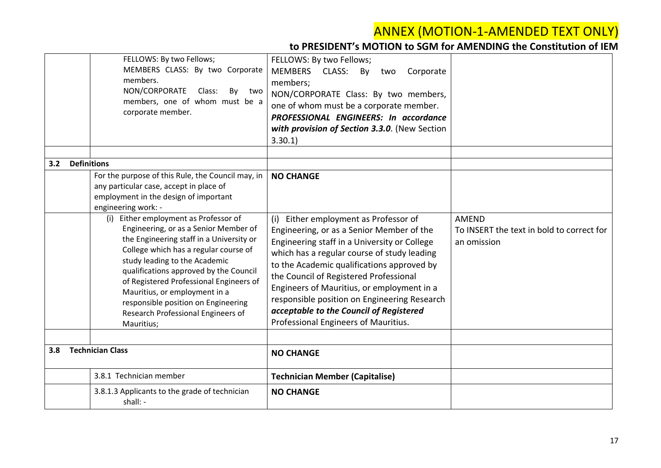|     | FELLOWS: By two Fellows;<br>MEMBERS CLASS: By two Corporate<br>members.<br>NON/CORPORATE<br>Class:<br>By<br>two<br>members, one of whom must be a<br>corporate member.                                                                                                                                                                                                                                                | FELLOWS: By two Fellows;<br>MEMBERS CLASS: By<br>Corporate<br>two<br>members;<br>NON/CORPORATE Class: By two members,<br>one of whom must be a corporate member.<br>PROFESSIONAL ENGINEERS: In accordance<br>with provision of Section 3.3.0. (New Section<br>3.30.1                                                                                                                                                                                          |                                                                          |
|-----|-----------------------------------------------------------------------------------------------------------------------------------------------------------------------------------------------------------------------------------------------------------------------------------------------------------------------------------------------------------------------------------------------------------------------|---------------------------------------------------------------------------------------------------------------------------------------------------------------------------------------------------------------------------------------------------------------------------------------------------------------------------------------------------------------------------------------------------------------------------------------------------------------|--------------------------------------------------------------------------|
| 3.2 | <b>Definitions</b>                                                                                                                                                                                                                                                                                                                                                                                                    |                                                                                                                                                                                                                                                                                                                                                                                                                                                               |                                                                          |
|     | For the purpose of this Rule, the Council may, in<br>any particular case, accept in place of<br>employment in the design of important<br>engineering work: -                                                                                                                                                                                                                                                          | <b>NO CHANGE</b>                                                                                                                                                                                                                                                                                                                                                                                                                                              |                                                                          |
|     | (i) Either employment as Professor of<br>Engineering, or as a Senior Member of<br>the Engineering staff in a University or<br>College which has a regular course of<br>study leading to the Academic<br>qualifications approved by the Council<br>of Registered Professional Engineers of<br>Mauritius, or employment in a<br>responsible position on Engineering<br>Research Professional Engineers of<br>Mauritius; | Either employment as Professor of<br>(i)<br>Engineering, or as a Senior Member of the<br>Engineering staff in a University or College<br>which has a regular course of study leading<br>to the Academic qualifications approved by<br>the Council of Registered Professional<br>Engineers of Mauritius, or employment in a<br>responsible position on Engineering Research<br>acceptable to the Council of Registered<br>Professional Engineers of Mauritius. | <b>AMEND</b><br>To INSERT the text in bold to correct for<br>an omission |
| 3.8 | <b>Technician Class</b>                                                                                                                                                                                                                                                                                                                                                                                               | <b>NO CHANGE</b>                                                                                                                                                                                                                                                                                                                                                                                                                                              |                                                                          |
|     |                                                                                                                                                                                                                                                                                                                                                                                                                       |                                                                                                                                                                                                                                                                                                                                                                                                                                                               |                                                                          |
|     | 3.8.1 Technician member                                                                                                                                                                                                                                                                                                                                                                                               | <b>Technician Member (Capitalise)</b>                                                                                                                                                                                                                                                                                                                                                                                                                         |                                                                          |
|     | 3.8.1.3 Applicants to the grade of technician<br>shall: -                                                                                                                                                                                                                                                                                                                                                             | <b>NO CHANGE</b>                                                                                                                                                                                                                                                                                                                                                                                                                                              |                                                                          |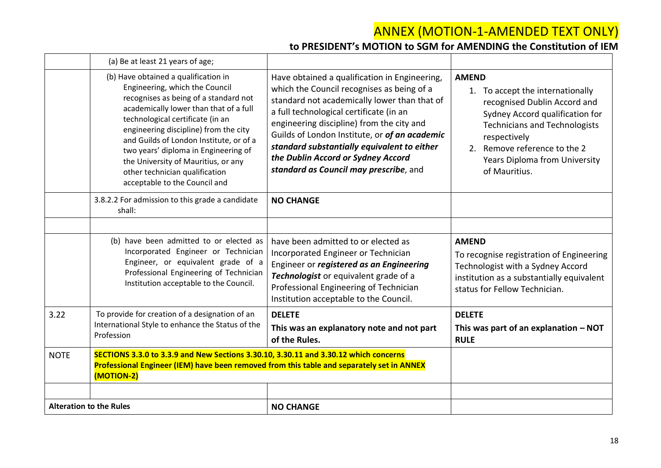|             | (a) Be at least 21 years of age;                                                                                                                                                                                                                                                                                                                                                                                                    |                                                                                                                                                                                                                                                                                                                                                                                                                     |                                                                                                                                                                                                                                                                      |
|-------------|-------------------------------------------------------------------------------------------------------------------------------------------------------------------------------------------------------------------------------------------------------------------------------------------------------------------------------------------------------------------------------------------------------------------------------------|---------------------------------------------------------------------------------------------------------------------------------------------------------------------------------------------------------------------------------------------------------------------------------------------------------------------------------------------------------------------------------------------------------------------|----------------------------------------------------------------------------------------------------------------------------------------------------------------------------------------------------------------------------------------------------------------------|
|             | (b) Have obtained a qualification in<br>Engineering, which the Council<br>recognises as being of a standard not<br>academically lower than that of a full<br>technological certificate (in an<br>engineering discipline) from the city<br>and Guilds of London Institute, or of a<br>two years' diploma in Engineering of<br>the University of Mauritius, or any<br>other technician qualification<br>acceptable to the Council and | Have obtained a qualification in Engineering,<br>which the Council recognises as being of a<br>standard not academically lower than that of<br>a full technological certificate (in an<br>engineering discipline) from the city and<br>Guilds of London Institute, or of an academic<br>standard substantially equivalent to either<br>the Dublin Accord or Sydney Accord<br>standard as Council may prescribe, and | <b>AMEND</b><br>1. To accept the internationally<br>recognised Dublin Accord and<br>Sydney Accord qualification for<br><b>Technicians and Technologists</b><br>respectively<br>2. Remove reference to the 2<br><b>Years Diploma from University</b><br>of Mauritius. |
|             | 3.8.2.2 For admission to this grade a candidate<br>shall:                                                                                                                                                                                                                                                                                                                                                                           | <b>NO CHANGE</b>                                                                                                                                                                                                                                                                                                                                                                                                    |                                                                                                                                                                                                                                                                      |
|             |                                                                                                                                                                                                                                                                                                                                                                                                                                     |                                                                                                                                                                                                                                                                                                                                                                                                                     |                                                                                                                                                                                                                                                                      |
|             | (b) have been admitted to or elected as<br>Incorporated Engineer or Technician<br>Engineer, or equivalent grade of a<br>Professional Engineering of Technician<br>Institution acceptable to the Council.                                                                                                                                                                                                                            | have been admitted to or elected as<br>Incorporated Engineer or Technician<br>Engineer or registered as an Engineering<br>Technologist or equivalent grade of a<br>Professional Engineering of Technician<br>Institution acceptable to the Council.                                                                                                                                                                 | <b>AMEND</b><br>To recognise registration of Engineering<br>Technologist with a Sydney Accord<br>institution as a substantially equivalent<br>status for Fellow Technician.                                                                                          |
| 3.22        | To provide for creation of a designation of an<br>International Style to enhance the Status of the<br>Profession                                                                                                                                                                                                                                                                                                                    | <b>DELETE</b><br>This was an explanatory note and not part<br>of the Rules.                                                                                                                                                                                                                                                                                                                                         | <b>DELETE</b><br>This was part of an explanation $-$ NOT<br><b>RULE</b>                                                                                                                                                                                              |
| <b>NOTE</b> | SECTIONS 3.3.0 to 3.3.9 and New Sections 3.30.10, 3.30.11 and 3.30.12 which concerns<br>Professional Engineer (IEM) have been removed from this table and separately set in ANNEX<br>(MOTION-2)                                                                                                                                                                                                                                     |                                                                                                                                                                                                                                                                                                                                                                                                                     |                                                                                                                                                                                                                                                                      |
|             |                                                                                                                                                                                                                                                                                                                                                                                                                                     |                                                                                                                                                                                                                                                                                                                                                                                                                     |                                                                                                                                                                                                                                                                      |
|             | <b>Alteration to the Rules</b>                                                                                                                                                                                                                                                                                                                                                                                                      | <b>NO CHANGE</b>                                                                                                                                                                                                                                                                                                                                                                                                    |                                                                                                                                                                                                                                                                      |